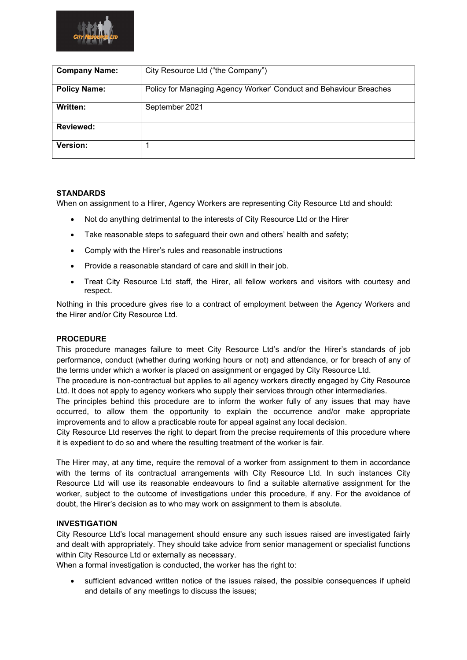

| <b>Company Name:</b> | City Resource Ltd ("the Company")                                 |  |  |
|----------------------|-------------------------------------------------------------------|--|--|
| <b>Policy Name:</b>  | Policy for Managing Agency Worker' Conduct and Behaviour Breaches |  |  |
| Written:             | September 2021                                                    |  |  |
| Reviewed:            |                                                                   |  |  |
| Version:             |                                                                   |  |  |

# **STANDARDS**

When on assignment to a Hirer, Agency Workers are representing City Resource Ltd and should:

- Not do anything detrimental to the interests of City Resource Ltd or the Hirer
- Take reasonable steps to safeguard their own and others' health and safety;
- Comply with the Hirer's rules and reasonable instructions
- Provide a reasonable standard of care and skill in their job.
- Treat City Resource Ltd staff, the Hirer, all fellow workers and visitors with courtesy and respect.

Nothing in this procedure gives rise to a contract of employment between the Agency Workers and the Hirer and/or City Resource Ltd.

# **PROCEDURE**

This procedure manages failure to meet City Resource Ltd's and/or the Hirer's standards of job performance, conduct (whether during working hours or not) and attendance, or for breach of any of the terms under which a worker is placed on assignment or engaged by City Resource Ltd.

The procedure is non-contractual but applies to all agency workers directly engaged by City Resource Ltd. It does not apply to agency workers who supply their services through other intermediaries.

The principles behind this procedure are to inform the worker fully of any issues that may have occurred, to allow them the opportunity to explain the occurrence and/or make appropriate improvements and to allow a practicable route for appeal against any local decision.

City Resource Ltd reserves the right to depart from the precise requirements of this procedure where it is expedient to do so and where the resulting treatment of the worker is fair.

The Hirer may, at any time, require the removal of a worker from assignment to them in accordance with the terms of its contractual arrangements with City Resource Ltd. In such instances City Resource Ltd will use its reasonable endeavours to find a suitable alternative assignment for the worker, subject to the outcome of investigations under this procedure, if any. For the avoidance of doubt, the Hirer's decision as to who may work on assignment to them is absolute.

# **INVESTIGATION**

City Resource Ltd's local management should ensure any such issues raised are investigated fairly and dealt with appropriately. They should take advice from senior management or specialist functions within City Resource Ltd or externally as necessary.

When a formal investigation is conducted, the worker has the right to:

• sufficient advanced written notice of the issues raised, the possible consequences if upheld and details of any meetings to discuss the issues;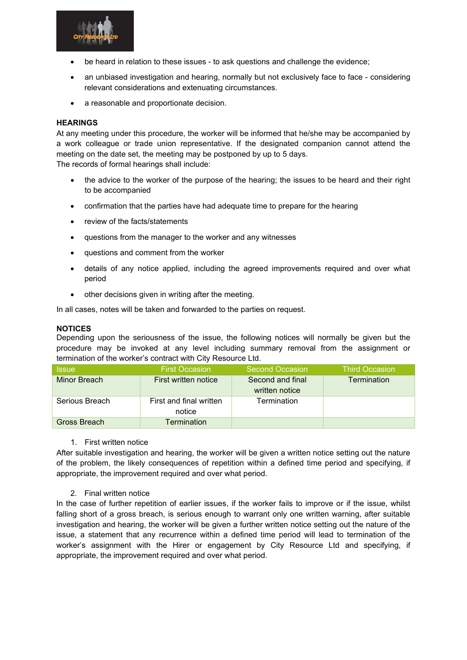

- be heard in relation to these issues to ask questions and challenge the evidence;
- an unbiased investigation and hearing, normally but not exclusively face to face considering relevant considerations and extenuating circumstances.
- a reasonable and proportionate decision.

### **HEARINGS**

At any meeting under this procedure, the worker will be informed that he/she may be accompanied by a work colleague or trade union representative. If the designated companion cannot attend the meeting on the date set, the meeting may be postponed by up to 5 days.

The records of formal hearings shall include:

- the advice to the worker of the purpose of the hearing; the issues to be heard and their right to be accompanied
- confirmation that the parties have had adequate time to prepare for the hearing
- review of the facts/statements
- questions from the manager to the worker and any witnesses
- questions and comment from the worker
- details of any notice applied, including the agreed improvements required and over what period
- other decisions given in writing after the meeting.

In all cases, notes will be taken and forwarded to the parties on request.

#### **NOTICES**

Depending upon the seriousness of the issue, the following notices will normally be given but the procedure may be invoked at any level including summary removal from the assignment or termination of the worker's contract with City Resource Ltd.

| <b>Issue</b>   | <b>First Occasion</b>   | <b>Second Occasion</b> | <b>Third Occasion</b> |
|----------------|-------------------------|------------------------|-----------------------|
| Minor Breach   | First written notice    | Second and final       | <b>Termination</b>    |
|                |                         | written notice         |                       |
| Serious Breach | First and final written | Termination            |                       |
|                | notice                  |                        |                       |
| Gross Breach   | Termination             |                        |                       |

#### 1. First written notice

After suitable investigation and hearing, the worker will be given a written notice setting out the nature of the problem, the likely consequences of repetition within a defined time period and specifying, if appropriate, the improvement required and over what period.

#### 2. Final written notice

In the case of further repetition of earlier issues, if the worker fails to improve or if the issue, whilst falling short of a gross breach, is serious enough to warrant only one written warning, after suitable investigation and hearing, the worker will be given a further written notice setting out the nature of the issue, a statement that any recurrence within a defined time period will lead to termination of the worker's assignment with the Hirer or engagement by City Resource Ltd and specifying, if appropriate, the improvement required and over what period.